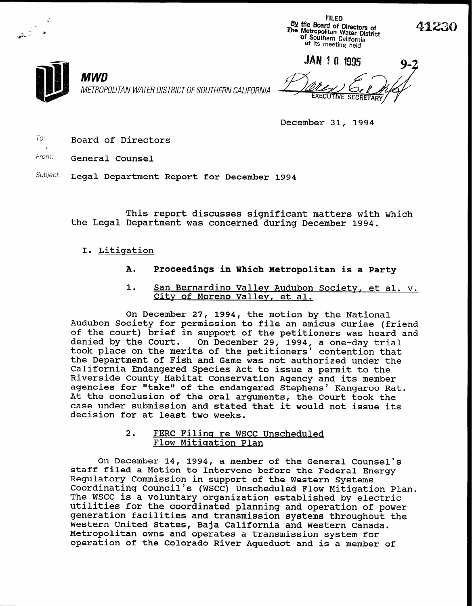FILED **By the Board of Directors of The Metropolitan Water District of Southern California** at its meeting held



MWD METROPOLITAN WATER DISTRICT OF SOUTHERN CALIFORNIA

JAN 1 0 1995 **SECRE** 

December 31, 1994

 $To:$  Board of Directors

From: General Counsel

Subject: Legal Department Report for December 1994

This report discusses significant matters with which the Legal Department was concerned during December 1994.

# I. Litigation

- A. Proceedings in Which Metropolitan is a Party
- 1. San Bernardino Valley Audubon Society. et al. v. City of Moreno Valley, et al.

On December 27, 1994, the motion by the National Audubon Society for permission to file an amicus curiae (friend of the court) brief in support of the petitioners was heard and denied by the Court. On December 29, 1994, a one-day tri took place on the merits of the petitioners' contention tha the Department of Fish and Game was not authorized under the California Endangered Species Act to issue a permit to the Riverside County Habitat Conservation Agency and its member agencies for "take" of the endangered Stephens' Kangaroo Rat. At the conclusion of the oral arguments, the Court took the case under submission and stated that it would not issue its decision for at least two weeks.

> 2. FERC Filing re WSCC Unscheduled Flow Mitigation Plan

On December 14, 1994, a member of the General Counsel's staff filed a Motion to Intervene before the Federal Energy Regulatory Commission in support of the Western Systems Coordinating Council's (WSCC) Unscheduled Flow Mitigation Plan. The WSCC is a voluntary organization established by electric utilities for the coordinated planning and operation of power generation facilities and transmission systems throughout the Western United States, Baja California and Western Canada. Metropolitan owns and operates a transmission system for operation of the Colorado River Aqueduct and is a member of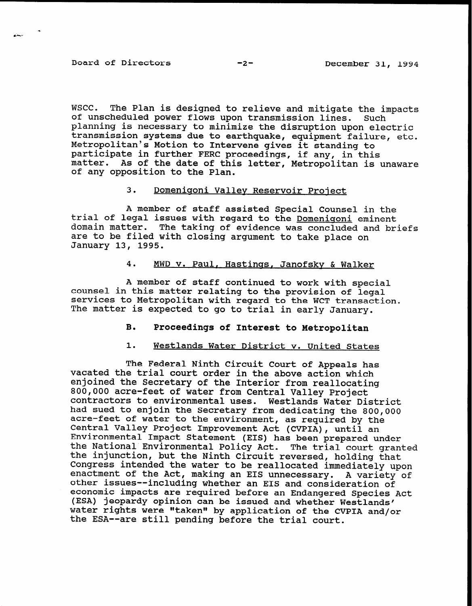# Board of Directors -2-<br>-2-<br>December 31, 1994

wscc. The Plan is designed to relieve and mitigate the impacts of unscheduled power flows upon transmission lines. Such planning is necessary to minimize the disruption upon electric transmission systems due to earthquake, equipment failure, etc. Metropolitan's Motion to Intervene gives it standing to participate in further FERC proceedings, if any, in this matter. As of the date of this letter, Metropolitan is unaware of any opposition to the Plan.

## 3. Domeniqoni Valley Reservoir Project

A member of staff assisted Special Counsel in the trial of legal issues with regard to the Domenigoni eminent domain matter. The taking of evidence was concluded and briefs are to be filed with closing argument to take place on January 13, 1995.

## 4. MWD v. Paul, Hastings, Janofsky & Walker

A member of staff continued to work with special counsel in this matter relating to the provision of legal services to Metropolitan with regard to the WCT transaction. The matter is expected to go to trial in early January.

## B. Proceedings of Interest to Metropolitan

## 1. Westlands Water District v. United States

The Federal Ninth Circuit Court of Appeals has vacated the trial court order in the above action which enjoined the Secretary of the Interior from reallocating 800,000 acre-feet of water from Central Valley Project contractors to environmental uses. Westlands Water District had sued to enjoin the Secretary from dedicating the 800,000 acre-feet of water to the environment, as required by the Central Valley Project Improvement Act (CVPIA), until an Environmental Impact Statement (EIS) has been prepared under the National Environmental Policy Act. The trial court grante the injunction, but the Ninth Circuit reversed, holding tha Congress intended the water to be reallocated immediately upon enactment of the Act, making an EIS unnecessary. A variety of other issues--including whether an EIS and consideration of economic impacts are required before an Endangered Species Act (ESA) jeopardy opinion can be issued and whether Westlands' water rights were "taken" by application of the CVPIA and/or the ESA--are still pending before the trial court.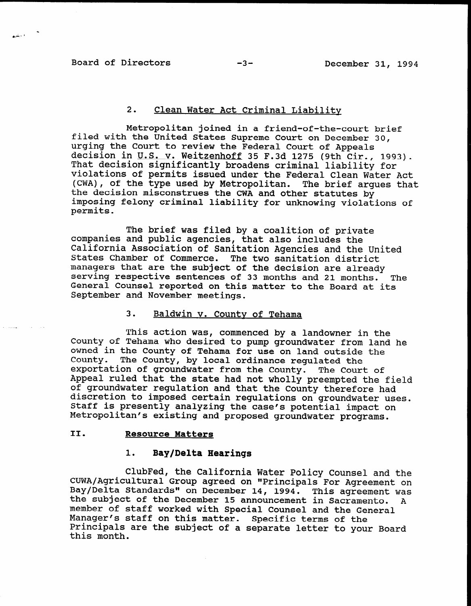فأحشم

# 2. Clean Water Act Criminal Liability

Metropolitan joined in a friend-of-the-court brief filed with the United States Supreme Court on December 30, urging the Court to review the Federal Court of Appeals decision in U.S. v. Weitzenhoff 35 F.3d 1275 (9th Cir., 1993). That decision significantly broadens criminal liability for violations of permits issued under the Federal Clean Water Act (CWA), of the type used by Metropolitan. The brief argues that the decision misconstrues the CWA and other statutes by imposing felony criminal liability for unknowing violations of permits.

The brief was filed by a coalition of private companies and public agencies, that also includes the California Association of Sanitation Agencies and the United States Chamber of Commerce. The two sanitation district managers that are the subject of the decision are already managers that are the subject of the decision are afready<br>Serving respective sentences of 33 months and 21 months. The SCIVING ICSPOCLIVE SCHLENCES OF 33 MONTHS AND ZI MONTHS. General Counsel reported on this matter to the Board at its September and November meetings.

# 3. Baldwin v. County of Tehama

This action was, commenced by a landowner in the This action was, commenced by a landowner in the County of Tehama who desired to pump groundwater from land he owned in the County of Tehama for use on land outside the County. The County, by local ordinance requlated the exportation of groundwater from the County. The Court of Appeal ruled that the state had not wholly preempted the field of groundwater regulation and that the County therefore had discretion to imposed certain regulations on groundwater uses. Staff is presently analyzing the case's potential impact on Metropolitan's existing and proposed groundwater programs.

# II. Resource Matters

# 1. Bay/Delta Hearings

ClubFed, the California Water Policy Counsel and the ClubFed, the California Water Policy Counsel and the CUWA/Agricultural Group agreed on "Principals For Agreement on Bay/Delta Standards" on December 14, 1994. This agreement was the subject of the December 15 announcement in Sacramento.  $\mathbf{A}$ member of staff worked with Special Counsel and the General Manager's staff on this matter. Specific terms of the Principals are the subject of a separate letter to your Board this month.